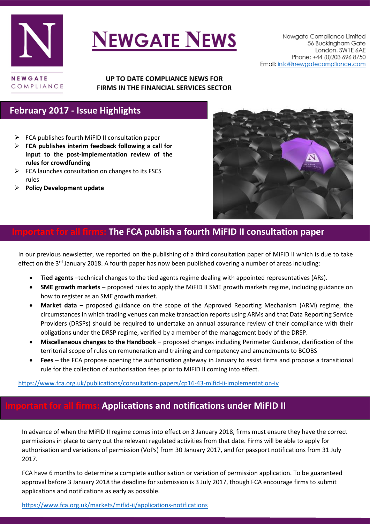

# **NEWGATE NEWS**

#### UP TO DATE COMPLIANCE NEWS FOR FIRMS IN THE FINANCIAL SERVICES SECTOR

## **February 2017 - Issue Highlights**

- $\triangleright$  FCA publishes fourth [MiFID II consultation paper](#page-0-0)
- **FCA publishes interim feedback following a call for input to the post-implementation review of the rules for crowdfunding**
- $\triangleright$  FCA launches consultation on changes to its FSCS rules
- **[Policy Development update](#page-3-0)**



### <span id="page-0-0"></span>**Indee FCA publish a fourth MiFID II consultation paper**

In our previous newsletter, we reported on the publishing of a third consultation paper of MiFID II which is due to take effect on the 3<sup>rd</sup> January 2018. A fourth paper has now been published covering a number of areas including:

- **Tied agents** –technical changes to the tied agents regime dealing with appointed representatives (ARs).
- **SME growth markets** proposed rules to apply the MiFID II SME growth markets regime, including guidance on how to register as an SME growth market.
- **Market data** proposed guidance on the scope of the Approved Reporting Mechanism (ARM) regime, the circumstances in which trading venues can make transaction reports using ARMs and that Data Reporting Service Providers (DRSPs) should be required to undertake an annual assurance review of their compliance with their obligations under the DRSP regime, verified by a member of the management body of the DRSP.
- **Miscellaneous changes to the Handbook** proposed changes including Perimeter Guidance, clarification of the territorial scope of rules on remuneration and training and competency and amendments to BCOBS
- **Fees** the FCA propose opening the authorisation gateway in January to assist firms and propose a transitional rule for the collection of authorisation fees prior to MIFID II coming into effect.

<https://www.fca.org.uk/publications/consultation-papers/cp16-43-mifid-ii-implementation-iv>

# **Important for all firms: Applications and notifications under MiFID II**

In advance of when the MiFID II regime comes into effect on 3 January 2018, firms must ensure they have the correct permissions in place to carry out the relevant regulated activities from that date. Firms will be able to apply for authorisation and variations of permission (VoPs) from 30 January 2017, and for passport notifications from 31 July 2017.

FCA have 6 months to determine a complete authorisation or variation of permission application. To be guaranteed approval before 3 January 2018 the deadline for submission is 3 July 2017, though FCA encourage firms to submit applications and notifications as early as possible.

#### <https://www.fca.org.uk/markets/mifid-ii/applications-notifications>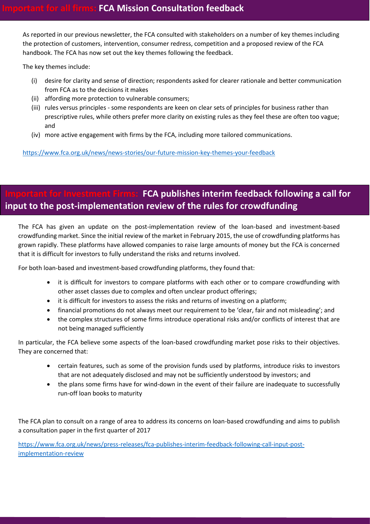As reported in our previous newsletter, the FCA consulted with stakeholders on a number of key themes including the protection of customers, intervention, consumer redress, competition and a proposed review of the FCA handbook. The FCA has now set out the key themes following the feedback.

The key themes include:

- (i) desire for clarity and sense of direction; respondents asked for clearer rationale and better communication from FCA as to the decisions it makes
- (ii) affording more protection to vulnerable consumers;
- (iii) rules versus principles some respondents are keen on clear sets of principles for business rather than prescriptive rules, while others prefer more clarity on existing rules as they feel these are often too vague; and
- (iv) more active engagement with firms by the FCA, including more tailored communications.

<https://www.fca.org.uk/news/news-stories/our-future-mission-key-themes-your-feedback>

# **Intrant for Investment Firms: FCA publishes interim feedback following a call for input to the post-implementation review of the rules for crowdfunding**

The FCA has given an update on the post-implementation review of the loan-based and investment-based crowdfunding market. Since the initial review of the market in February 2015, the use of crowdfunding platforms has grown rapidly. These platforms have allowed companies to raise large amounts of money but the FCA is concerned that it is difficult for investors to fully understand the risks and returns involved.

For both loan-based and investment-based crowdfunding platforms, they found that:

- it is difficult for investors to compare platforms with each other or to compare crowdfunding with other asset classes due to complex and often unclear product offerings;
- it is difficult for investors to assess the risks and returns of investing on a platform;
- financial promotions do not always meet our requirement to be 'clear, fair and not misleading'; and
- the complex structures of some firms introduce operational risks and/or conflicts of interest that are not being managed sufficiently

In particular, the FCA believe some aspects of the loan-based crowdfunding market pose risks to their objectives. They are concerned that:

- certain features, such as some of the provision funds used by platforms, introduce risks to investors that are not adequately disclosed and may not be sufficiently understood by investors; and
- the plans some firms have for wind-down in the event of their failure are inadequate to successfully run-off loan books to maturity

The FCA plan to consult on a range of area to address its concerns on loan-based crowdfunding and aims to publish a consultation paper in the first quarter of 2017

[https://www.fca.org.uk/news/press-releases/fca-publishes-interim-feedback-following-call-input-post](https://www.fca.org.uk/news/press-releases/fca-publishes-interim-feedback-following-call-input-post-implementation-review)[implementation-review](https://www.fca.org.uk/news/press-releases/fca-publishes-interim-feedback-following-call-input-post-implementation-review)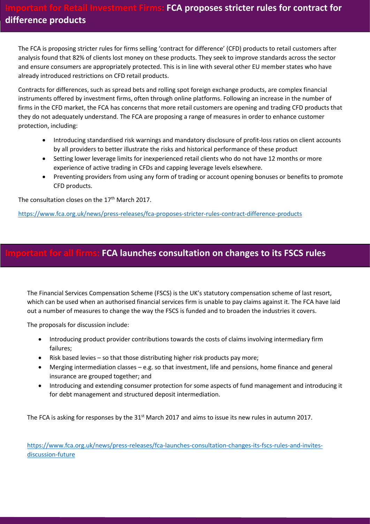The FCA is proposing stricter rules for firms selling 'contract for difference' (CFD) products to retail customers after analysis found that 82% of clients lost money on these products. They seek to improve standards across the sector and ensure consumers are appropriately protected. This is in line with several other EU member states who have already introduced restrictions on CFD retail products.

Contracts for differences, such as spread bets and rolling spot foreign exchange products, are complex financial instruments offered by investment firms, often through online platforms. Following an increase in the number of firms in the CFD market, the FCA has concerns that more retail customers are opening and trading CFD products that they do not adequately understand. The FCA are proposing a range of measures in order to enhance customer protection, including:

- Introducing standardised risk warnings and mandatory disclosure of profit-loss ratios on client accounts by all providers to better illustrate the risks and historical performance of these product
- Setting lower leverage limits for inexperienced retail clients who do not have 12 months or more experience of active trading in CFDs and capping leverage levels elsewhere.
- Preventing providers from using any form of trading or account opening bonuses or benefits to promote CFD products.

The consultation closes on the 17<sup>th</sup> March 2017.

<https://www.fca.org.uk/news/press-releases/fca-proposes-stricter-rules-contract-difference-products>

#### **Important for all firms: FCA launches consultation on changes to its FSCS rules**

The Financial Services Compensation Scheme (FSCS) is the UK's statutory compensation scheme of last resort, which can be used when an authorised financial services firm is unable to pay claims against it. The FCA have laid out a number of measures to change the way the FSCS is funded and to broaden the industries it covers.

The proposals for discussion include:

- Introducing product provider contributions towards the costs of claims involving intermediary firm failures;
- Risk based levies so that those distributing higher risk products pay more;
- Merging intermediation classes e.g. so that investment, life and pensions, home finance and general insurance are grouped together; and
- Introducing and extending consumer protection for some aspects of fund management and introducing it for debt management and structured deposit intermediation.

The FCA is asking for responses by the 31<sup>st</sup> March 2017 and aims to issue its new rules in autumn 2017.

[https://www.fca.org.uk/news/press-releases/fca-launches-consultation-changes-its-fscs-rules-and-invites](https://www.fca.org.uk/news/press-releases/fca-launches-consultation-changes-its-fscs-rules-and-invites-discussion-future)[discussion-future](https://www.fca.org.uk/news/press-releases/fca-launches-consultation-changes-its-fscs-rules-and-invites-discussion-future)